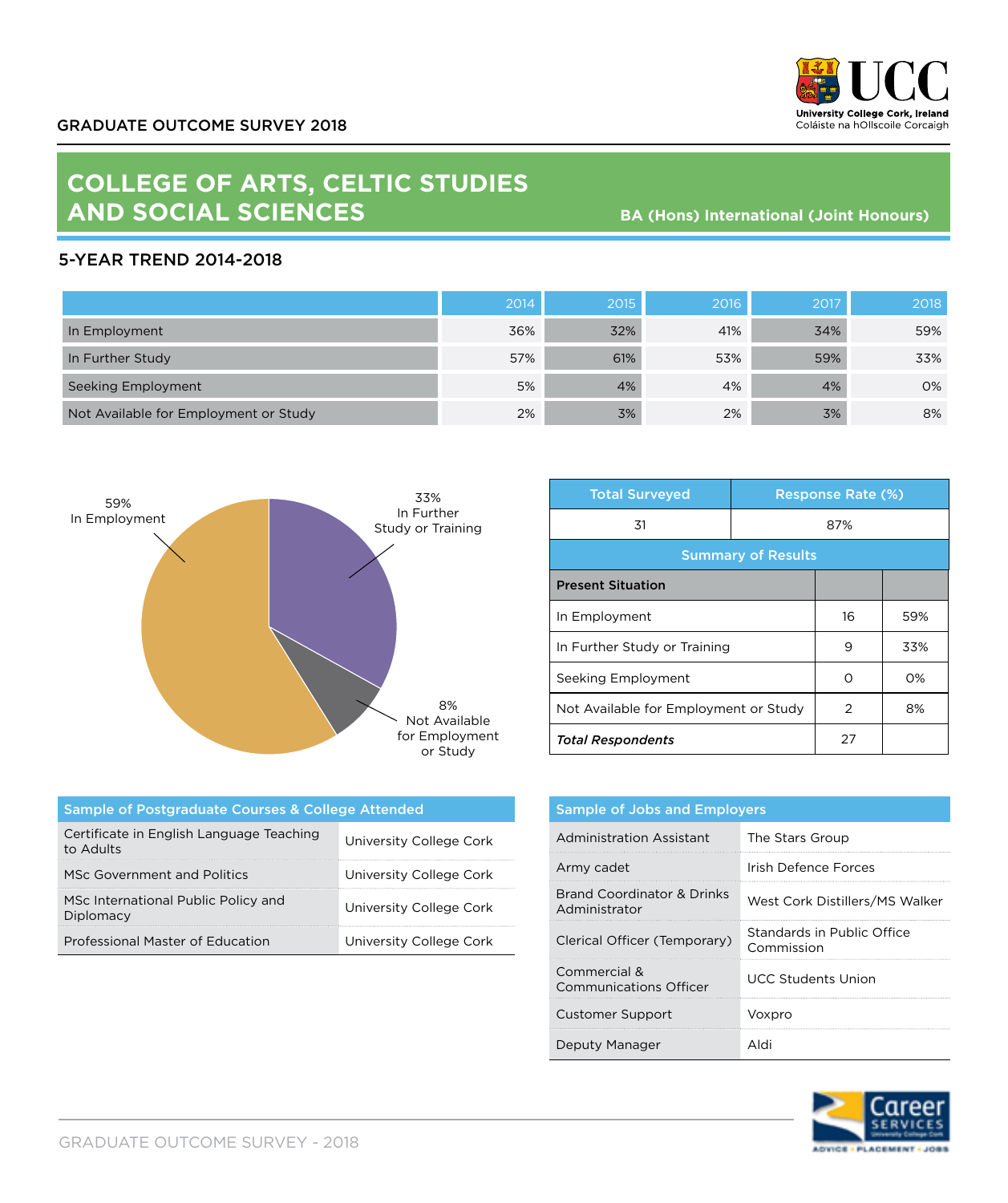

## **COLLEGE OF ARTS, CELTIC STUDIES AND SOCIAL SCIENCES**

**BA (Hons) International (Joint Honours)**

## 5-YEAR TREND 2014-2018

|                                       | 2014 | 2015 | 2016 | 2017 | 2018 |
|---------------------------------------|------|------|------|------|------|
| In Employment                         | 36%  | 32%  | 41%  | 34%  | 59%  |
| In Further Study                      | 57%  | 61%  | 53%  | 59%  | 33%  |
| Seeking Employment                    | 5%   | 4%   | 4%   | 4%   | 0%   |
| Not Available for Employment or Study | 2%   | 3%   | 2%   | 3%   | 8%   |



| <b>Total Surveyed</b>                 |     | <b>Response Rate (%)</b> |       |  |
|---------------------------------------|-----|--------------------------|-------|--|
| 31                                    | 87% |                          |       |  |
| <b>Summary of Results</b>             |     |                          |       |  |
| <b>Present Situation</b>              |     |                          |       |  |
| In Employment                         |     | 16                       | 59%   |  |
| In Further Study or Training          |     | 9                        | 33%   |  |
| Seeking Employment                    |     | Ω                        | $O\%$ |  |
| Not Available for Employment or Study |     | 2                        | 8%    |  |
| <b>Total Respondents</b>              |     | 27                       |       |  |

| Sample of Postgraduate Courses & College Attended     |                         |  |  |  |
|-------------------------------------------------------|-------------------------|--|--|--|
| Certificate in English Language Teaching<br>to Adults | University College Cork |  |  |  |
| MSc Government and Politics                           | University College Cork |  |  |  |
| MSc International Public Policy and<br>Diplomacy      | University College Cork |  |  |  |
| Professional Master of Education                      | University College Cork |  |  |  |

| <b>Sample of Jobs and Employers</b>           |                                          |  |
|-----------------------------------------------|------------------------------------------|--|
| Administration Assistant                      | The Stars Group                          |  |
| Army cadet                                    | Irish Defence Forces                     |  |
| Brand Coordinator & Drinks<br>Administrator   | West Cork Distillers/MS Walker           |  |
| Clerical Officer (Temporary)                  | Standards in Public Office<br>Commission |  |
| Commercial &<br><b>Communications Officer</b> | UCC Students Union                       |  |
| <b>Customer Support</b>                       | Voxpro                                   |  |
| Deputy Manager                                |                                          |  |